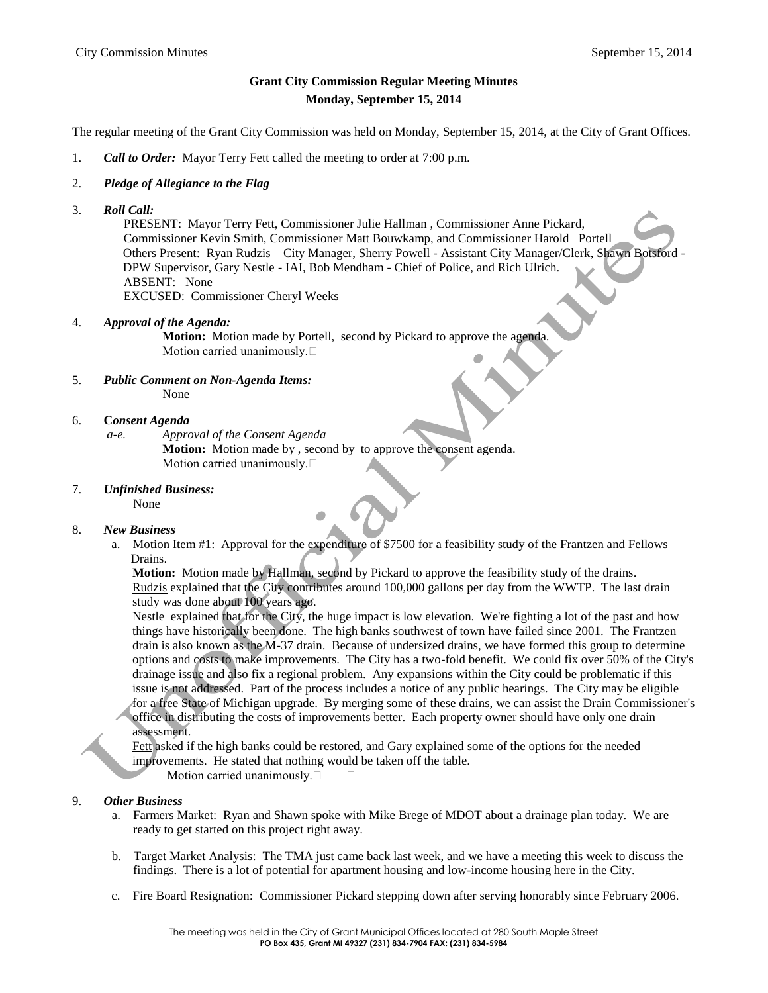## **Grant City Commission Regular Meeting Minutes Monday, September 15, 2014**

The regular meeting of the Grant City Commission was held on Monday, September 15, 2014, at the City of Grant Offices.

- 1. *Call to Order:* Mayor Terry Fett called the meeting to order at 7:00 p.m.
- 2. *Pledge of Allegiance to the Flag*
- 3. *Roll Call:*

 PRESENT: Mayor Terry Fett, Commissioner Julie Hallman , Commissioner Anne Pickard, Commissioner Kevin Smith, Commissioner Matt Bouwkamp, and Commissioner Harold Portell Others Present: Ryan Rudzis – City Manager, Sherry Powell - Assistant City Manager/Clerk, Shawn Botsford - DPW Supervisor, Gary Nestle - IAI, Bob Mendham - Chief of Police, and Rich Ulrich. ABSENT: None EXCUSED: Commissioner Cheryl Weeks

4. *Approval of the Agenda:* 

**Motion:** Motion made by Portell, second by Pickard to approve the agenda. Motion carried unanimously.

- 5. *Public Comment on Non-Agenda Items:* None
- 6. **C***onsent Agenda*
	- *a-e. Approval of the Consent Agenda*

**Motion:** Motion made by , second by to approve the consent agenda. Motion carried unanimously.

7. *Unfinished Business:*

None

## 8. *New Business*

 a. Motion Item #1: Approval for the expenditure of \$7500 for a feasibility study of the Frantzen and Fellows Drains.

**Motion:** Motion made by Hallman, second by Pickard to approve the feasibility study of the drains. Rudzis explained that the City contributes around 100,000 gallons per day from the WWTP. The last drain study was done about 100 years ago.

Nestle explained that for the City, the huge impact is low elevation. We're fighting a lot of the past and how things have historically been done. The high banks southwest of town have failed since 2001. The Frantzen drain is also known as the M-37 drain. Because of undersized drains, we have formed this group to determine options and costs to make improvements. The City has a two-fold benefit. We could fix over 50% of the City's drainage issue and also fix a regional problem. Any expansions within the City could be problematic if this issue is not addressed. Part of the process includes a notice of any public hearings. The City may be eligible for a free State of Michigan upgrade. By merging some of these drains, we can assist the Drain Commissioner's office in distributing the costs of improvements better. Each property owner should have only one drain assessment.

Fett asked if the high banks could be restored, and Gary explained some of the options for the needed improvements. He stated that nothing would be taken off the table.

Motion carried unanimously.

## 9. *Other Business*

- a. Farmers Market: Ryan and Shawn spoke with Mike Brege of MDOT about a drainage plan today. We are ready to get started on this project right away.
- b. Target Market Analysis: The TMA just came back last week, and we have a meeting this week to discuss the findings. There is a lot of potential for apartment housing and low-income housing here in the City.
- c. Fire Board Resignation: Commissioner Pickard stepping down after serving honorably since February 2006.